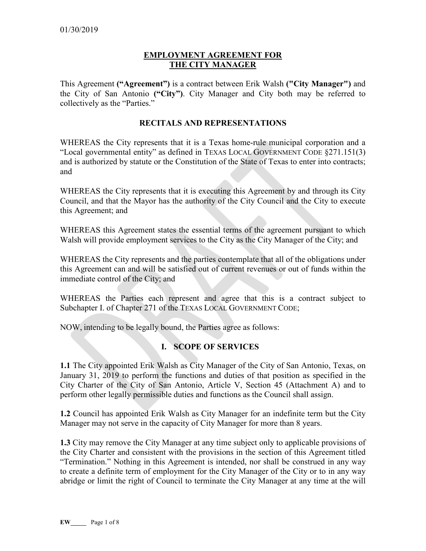## **EMPLOYMENT AGREEMENT FOR THE CITY MANAGER**

This Agreement **("Agreement")** is a contract between Erik Walsh **("City Manager")** and the City of San Antonio **("City")**. City Manager and City both may be referred to collectively as the "Parties."

#### **RECITALS AND REPRESENTATIONS**

WHEREAS the City represents that it is a Texas home-rule municipal corporation and a "Local governmental entity" as defined in TEXAS LOCAL GOVERNMENT CODE §271.151(3) and is authorized by statute or the Constitution of the State of Texas to enter into contracts; and

WHEREAS the City represents that it is executing this Agreement by and through its City Council, and that the Mayor has the authority of the City Council and the City to execute this Agreement; and

WHEREAS this Agreement states the essential terms of the agreement pursuant to which Walsh will provide employment services to the City as the City Manager of the City; and

WHEREAS the City represents and the parties contemplate that all of the obligations under this Agreement can and will be satisfied out of current revenues or out of funds within the immediate control of the City; and

WHEREAS the Parties each represent and agree that this is a contract subject to Subchapter I. of Chapter 271 of the TEXAS LOCAL GOVERNMENT CODE;

NOW, intending to be legally bound, the Parties agree as follows:

### **I. SCOPE OF SERVICES**

**1.1** The City appointed Erik Walsh as City Manager of the City of San Antonio, Texas, on January 31, 2019 to perform the functions and duties of that position as specified in the City Charter of the City of San Antonio, Article V, Section 45 (Attachment A) and to perform other legally permissible duties and functions as the Council shall assign.

**1.2** Council has appointed Erik Walsh as City Manager for an indefinite term but the City Manager may not serve in the capacity of City Manager for more than 8 years.

**1.3** City may remove the City Manager at any time subject only to applicable provisions of the City Charter and consistent with the provisions in the section of this Agreement titled "Termination." Nothing in this Agreement is intended, nor shall be construed in any way to create a definite term of employment for the City Manager of the City or to in any way abridge or limit the right of Council to terminate the City Manager at any time at the will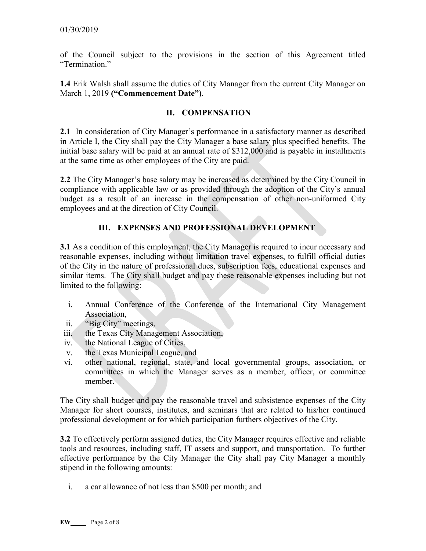of the Council subject to the provisions in the section of this Agreement titled "Termination"

**1.4** Erik Walsh shall assume the duties of City Manager from the current City Manager on March 1, 2019 **("Commencement Date")**.

## **II. COMPENSATION**

**2.1** In consideration of City Manager's performance in a satisfactory manner as described in Article I, the City shall pay the City Manager a base salary plus specified benefits. The initial base salary will be paid at an annual rate of \$312,000 and is payable in installments at the same time as other employees of the City are paid.

**2.2** The City Manager's base salary may be increased as determined by the City Council in compliance with applicable law or as provided through the adoption of the City's annual budget as a result of an increase in the compensation of other non-uniformed City employees and at the direction of City Council.

# **III. EXPENSES AND PROFESSIONAL DEVELOPMENT**

**3.1** As a condition of this employment, the City Manager is required to incur necessary and reasonable expenses, including without limitation travel expenses, to fulfill official duties of the City in the nature of professional dues, subscription fees, educational expenses and similar items. The City shall budget and pay these reasonable expenses including but not limited to the following:

- i. Annual Conference of the Conference of the International City Management Association,
- ii. "Big City" meetings,
- iii. the Texas City Management Association,
- iv. the National League of Cities,
- v. the Texas Municipal League, and
- vi. other national, regional, state, and local governmental groups, association, or committees in which the Manager serves as a member, officer, or committee member.

The City shall budget and pay the reasonable travel and subsistence expenses of the City Manager for short courses, institutes, and seminars that are related to his/her continued professional development or for which participation furthers objectives of the City.

**3.2** To effectively perform assigned duties, the City Manager requires effective and reliable tools and resources, including staff, IT assets and support, and transportation. To further effective performance by the City Manager the City shall pay City Manager a monthly stipend in the following amounts:

i. a car allowance of not less than \$500 per month; and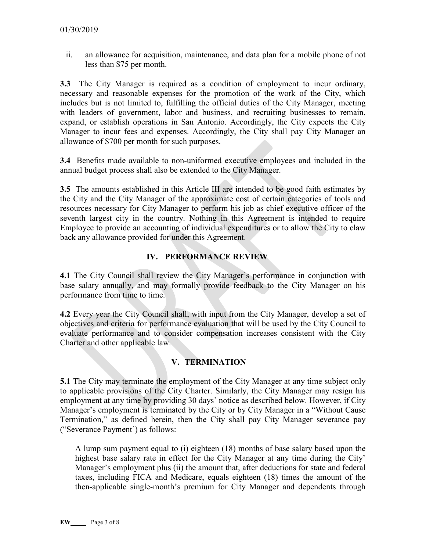ii. an allowance for acquisition, maintenance, and data plan for a mobile phone of not less than \$75 per month.

**3.3** The City Manager is required as a condition of employment to incur ordinary, necessary and reasonable expenses for the promotion of the work of the City, which includes but is not limited to, fulfilling the official duties of the City Manager, meeting with leaders of government, labor and business, and recruiting businesses to remain, expand, or establish operations in San Antonio. Accordingly, the City expects the City Manager to incur fees and expenses. Accordingly, the City shall pay City Manager an allowance of \$700 per month for such purposes.

**3.4** Benefits made available to non-uniformed executive employees and included in the annual budget process shall also be extended to the City Manager.

**3.5** The amounts established in this Article III are intended to be good faith estimates by the City and the City Manager of the approximate cost of certain categories of tools and resources necessary for City Manager to perform his job as chief executive officer of the seventh largest city in the country. Nothing in this Agreement is intended to require Employee to provide an accounting of individual expenditures or to allow the City to claw back any allowance provided for under this Agreement.

## **IV. PERFORMANCE REVIEW**

**4.1** The City Council shall review the City Manager's performance in conjunction with base salary annually, and may formally provide feedback to the City Manager on his performance from time to time.

**4.2** Every year the City Council shall, with input from the City Manager, develop a set of objectives and criteria for performance evaluation that will be used by the City Council to evaluate performance and to consider compensation increases consistent with the City Charter and other applicable law.

## **V. TERMINATION**

**5.1** The City may terminate the employment of the City Manager at any time subject only to applicable provisions of the City Charter. Similarly, the City Manager may resign his employment at any time by providing 30 days' notice as described below. However, if City Manager's employment is terminated by the City or by City Manager in a "Without Cause Termination," as defined herein, then the City shall pay City Manager severance pay ("Severance Payment') as follows:

A lump sum payment equal to (i) eighteen (18) months of base salary based upon the highest base salary rate in effect for the City Manager at any time during the City' Manager's employment plus (ii) the amount that, after deductions for state and federal taxes, including FICA and Medicare, equals eighteen (18) times the amount of the then-applicable single-month's premium for City Manager and dependents through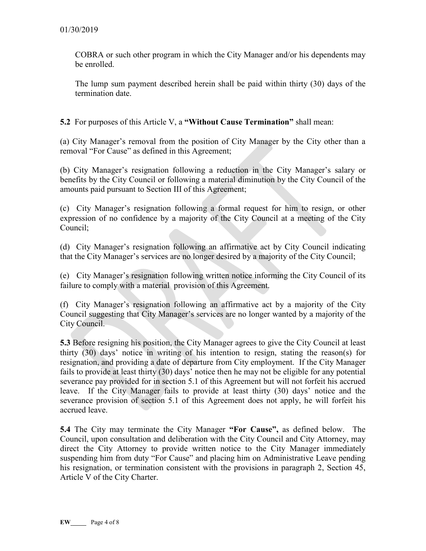COBRA or such other program in which the City Manager and/or his dependents may be enrolled.

The lump sum payment described herein shall be paid within thirty (30) days of the termination date.

**5.2** For purposes of this Article V, a **"Without Cause Termination"** shall mean:

(a) City Manager's removal from the position of City Manager by the City other than a removal "For Cause" as defined in this Agreement;

(b) City Manager's resignation following a reduction in the City Manager's salary or benefits by the City Council or following a material diminution by the City Council of the amounts paid pursuant to Section III of this Agreement;

(c) City Manager's resignation following a formal request for him to resign, or other expression of no confidence by a majority of the City Council at a meeting of the City Council;

(d) City Manager's resignation following an affirmative act by City Council indicating that the City Manager's services are no longer desired by a majority of the City Council;

(e) City Manager's resignation following written notice informing the City Council of its failure to comply with a material provision of this Agreement.

(f) City Manager's resignation following an affirmative act by a majority of the City Council suggesting that City Manager's services are no longer wanted by a majority of the City Council.

**5.3** Before resigning his position, the City Manager agrees to give the City Council at least thirty (30) days' notice in writing of his intention to resign, stating the reason(s) for resignation, and providing a date of departure from City employment. If the City Manager fails to provide at least thirty (30) days' notice then he may not be eligible for any potential severance pay provided for in section 5.1 of this Agreement but will not forfeit his accrued leave. If the City Manager fails to provide at least thirty (30) days' notice and the severance provision of section 5.1 of this Agreement does not apply, he will forfeit his accrued leave.

**5.4** The City may terminate the City Manager **"For Cause",** as defined below. The Council, upon consultation and deliberation with the City Council and City Attorney, may direct the City Attorney to provide written notice to the City Manager immediately suspending him from duty "For Cause" and placing him on Administrative Leave pending his resignation, or termination consistent with the provisions in paragraph 2, Section 45, Article V of the City Charter.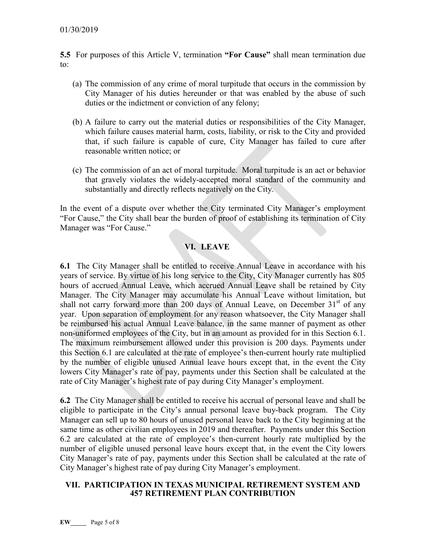**5.5** For purposes of this Article V, termination **"For Cause"** shall mean termination due to:

- (a) The commission of any crime of moral turpitude that occurs in the commission by City Manager of his duties hereunder or that was enabled by the abuse of such duties or the indictment or conviction of any felony;
- (b) A failure to carry out the material duties or responsibilities of the City Manager, which failure causes material harm, costs, liability, or risk to the City and provided that, if such failure is capable of cure, City Manager has failed to cure after reasonable written notice; or
- (c) The commission of an act of moral turpitude. Moral turpitude is an act or behavior that gravely violates the widely-accepted moral standard of the community and substantially and directly reflects negatively on the City.

In the event of a dispute over whether the City terminated City Manager's employment "For Cause," the City shall bear the burden of proof of establishing its termination of City Manager was "For Cause."

## **VI. LEAVE**

**6.1** The City Manager shall be entitled to receive Annual Leave in accordance with his years of service. By virtue of his long service to the City, City Manager currently has 805 hours of accrued Annual Leave, which accrued Annual Leave shall be retained by City Manager. The City Manager may accumulate his Annual Leave without limitation, but shall not carry forward more than 200 days of Annual Leave, on December  $31<sup>st</sup>$  of any year. Upon separation of employment for any reason whatsoever, the City Manager shall be reimbursed his actual Annual Leave balance, in the same manner of payment as other non-uniformed employees of the City, but in an amount as provided for in this Section 6.1. The maximum reimbursement allowed under this provision is 200 days. Payments under this Section 6.1 are calculated at the rate of employee's then-current hourly rate multiplied by the number of eligible unused Annual leave hours except that, in the event the City lowers City Manager's rate of pay, payments under this Section shall be calculated at the rate of City Manager's highest rate of pay during City Manager's employment.

**6.2** The City Manager shall be entitled to receive his accrual of personal leave and shall be eligible to participate in the City's annual personal leave buy-back program. The City Manager can sell up to 80 hours of unused personal leave back to the City beginning at the same time as other civilian employees in 2019 and thereafter. Payments under this Section 6.2 are calculated at the rate of employee's then-current hourly rate multiplied by the number of eligible unused personal leave hours except that, in the event the City lowers City Manager's rate of pay, payments under this Section shall be calculated at the rate of City Manager's highest rate of pay during City Manager's employment.

#### **VII. PARTICIPATION IN TEXAS MUNICIPAL RETIREMENT SYSTEM AND 457 RETIREMENT PLAN CONTRIBUTION**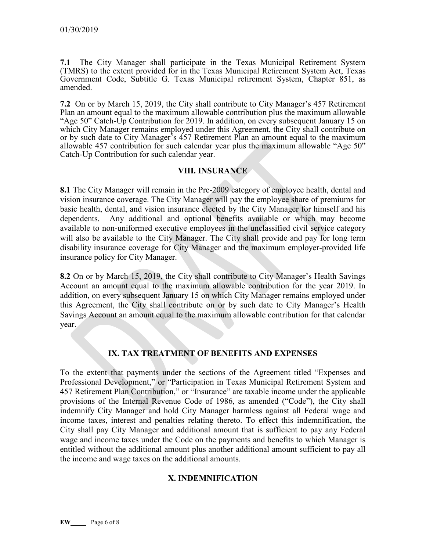**7.1** The City Manager shall participate in the Texas Municipal Retirement System (TMRS) to the extent provided for in the Texas Municipal Retirement System Act, Texas Government Code, Subtitle G. Texas Municipal retirement System, Chapter 851, as amended.

**7.2** On or by March 15, 2019, the City shall contribute to City Manager's 457 Retirement Plan an amount equal to the maximum allowable contribution plus the maximum allowable "Age 50" Catch-Up Contribution for 2019. In addition, on every subsequent January 15 on which City Manager remains employed under this Agreement, the City shall contribute on or by such date to City Manager's 457 Retirement Plan an amount equal to the maximum allowable 457 contribution for such calendar year plus the maximum allowable "Age 50" Catch-Up Contribution for such calendar year.

### **VIII. INSURANCE**

**8.1** The City Manager will remain in the Pre-2009 category of employee health, dental and vision insurance coverage. The City Manager will pay the employee share of premiums for basic health, dental, and vision insurance elected by the City Manager for himself and his dependents. Any additional and optional benefits available or which may become available to non-uniformed executive employees in the unclassified civil service category will also be available to the City Manager. The City shall provide and pay for long term disability insurance coverage for City Manager and the maximum employer-provided life insurance policy for City Manager.

**8.2** On or by March 15, 2019, the City shall contribute to City Manager's Health Savings Account an amount equal to the maximum allowable contribution for the year 2019. In addition, on every subsequent January 15 on which City Manager remains employed under this Agreement, the City shall contribute on or by such date to City Manager's Health Savings Account an amount equal to the maximum allowable contribution for that calendar year.

## **IX. TAX TREATMENT OF BENEFITS AND EXPENSES**

To the extent that payments under the sections of the Agreement titled "Expenses and Professional Development," or "Participation in Texas Municipal Retirement System and 457 Retirement Plan Contribution," or "Insurance" are taxable income under the applicable provisions of the Internal Revenue Code of 1986, as amended ("Code"), the City shall indemnify City Manager and hold City Manager harmless against all Federal wage and income taxes, interest and penalties relating thereto. To effect this indemnification, the City shall pay City Manager and additional amount that is sufficient to pay any Federal wage and income taxes under the Code on the payments and benefits to which Manager is entitled without the additional amount plus another additional amount sufficient to pay all the income and wage taxes on the additional amounts.

### **X. INDEMNIFICATION**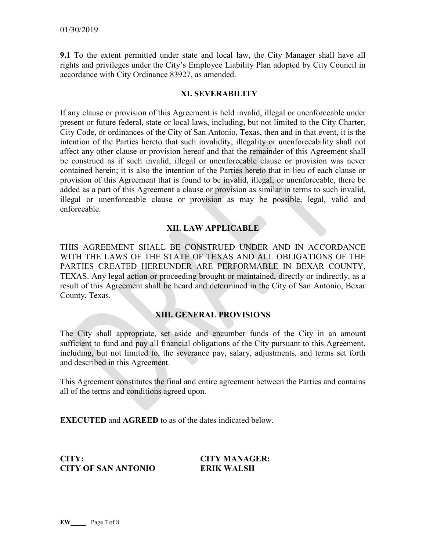**9.1** To the extent permitted under state and local law, the City Manager shall have all rights and privileges under the City's Employee Liability Plan adopted by City Council in accordance with City Ordinance 83927, as amended.

#### **XI. SEVERABILITY**

If any clause or provision of this Agreement is held invalid, illegal or unenforceable under present or future federal, state or local laws, including, but not limited to the City Charter, City Code, or ordinances of the City of San Antonio, Texas, then and in that event, it is the intention of the Parties hereto that such invalidity, illegality or unenforceability shall not affect any other clause or provision hereof and that the remainder of this Agreement shall be construed as if such invalid, illegal or unenforceable clause or provision was never contained herein; it is also the intention of the Parties hereto that in lieu of each clause or provision of this Agreement that is found to be invalid, illegal, or unenforceable, there be added as a part of this Agreement a clause or provision as similar in terms to such invalid, illegal or unenforceable clause or provision as may be possible, legal, valid and enforceable.

## **XII. LAW APPLICABLE**

THIS AGREEMENT SHALL BE CONSTRUED UNDER AND IN ACCORDANCE WITH THE LAWS OF THE STATE OF TEXAS AND ALL OBLIGATIONS OF THE PARTIES CREATED HEREUNDER ARE PERFORMABLE IN BEXAR COUNTY, TEXAS. Any legal action or proceeding brought or maintained, directly or indirectly, as a result of this Agreement shall be heard and determined in the City of San Antonio, Bexar County, Texas.

### **XIII. GENERAL PROVISIONS**

The City shall appropriate, set aside and encumber funds of the City in an amount sufficient to fund and pay all financial obligations of the City pursuant to this Agreement, including, but not limited to, the severance pay, salary, adjustments, and terms set forth and described in this Agreement.

This Agreement constitutes the final and entire agreement between the Parties and contains all of the terms and conditions agreed upon.

**EXECUTED** and **AGREED** to as of the dates indicated below.

**CITY: CITY MANAGER: CITY OF SAN ANTONIO ERIK WALSH**